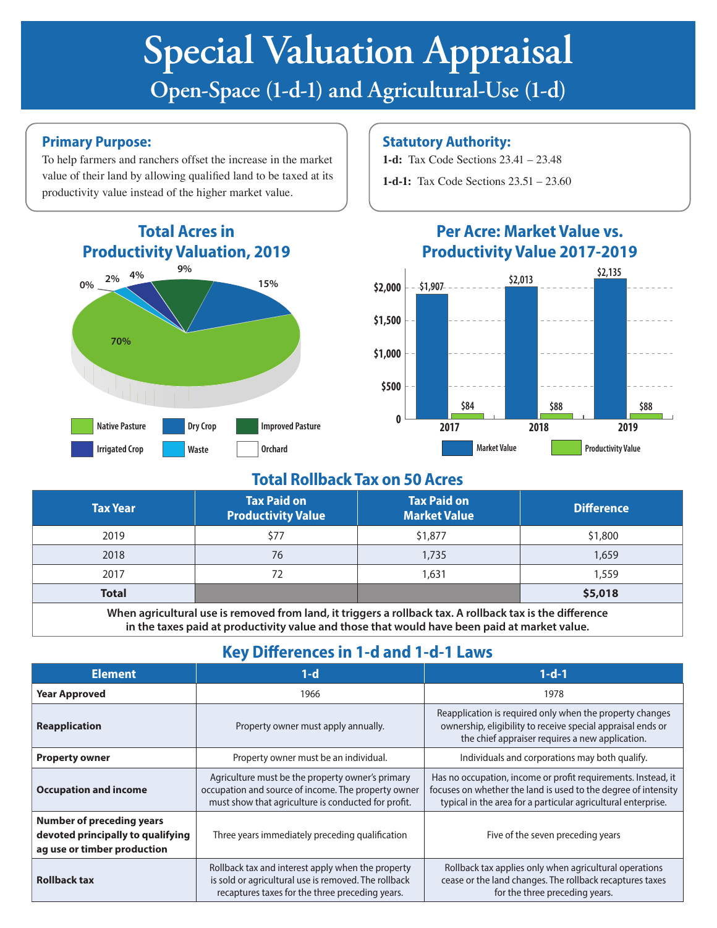# **Special Valuation Appraisal Open-Space (1-d-1) and Agricultural-Use (1-d)**

#### **Primary Purpose:**

To help farmers and ranchers offset the increase in the market value of their land by allowing qualified land to be taxed at its productivity value instead of the higher market value.



#### **Statutory Authority:**

**1-d:** Tax Code Sections 23.41 – 23.48

**1-d-1:** Tax Code Sections 23.51 – 23.60



## **Per Acre: Market Value vs. Productivity Value 2017-2019**

### **Total Rollback Tax on 50 Acres**

| <b>Tax Year</b> | <b>Tax Paid on</b><br><b>Productivity Value</b> | <b>Tax Paid on</b><br><b>Market Value</b> | <b>Difference</b> |
|-----------------|-------------------------------------------------|-------------------------------------------|-------------------|
| 2019            | \$77                                            | \$1,877                                   | \$1,800           |
| 2018            | 76                                              | 1,735                                     | 1,659             |
| 2017            | 72                                              | 1,631                                     | 1,559             |
| <b>Total</b>    |                                                 |                                           | \$5,018           |

**When agricultural use is removed from land, it triggers a rollback tax. A rollback tax is the difference in the taxes paid at productivity value and those that would have been paid at market value.** 

## **Key Differences in 1-d and 1-d-1 Laws**

| <b>Element</b>                                                                                                                                                                      | $1-d$                                                                                                                                                          | $1-d-1$                                                                                                                                                                                          |  |
|-------------------------------------------------------------------------------------------------------------------------------------------------------------------------------------|----------------------------------------------------------------------------------------------------------------------------------------------------------------|--------------------------------------------------------------------------------------------------------------------------------------------------------------------------------------------------|--|
| <b>Year Approved</b>                                                                                                                                                                | 1966                                                                                                                                                           | 1978                                                                                                                                                                                             |  |
| <b>Reapplication</b>                                                                                                                                                                | Property owner must apply annually.                                                                                                                            | Reapplication is required only when the property changes<br>ownership, eligibility to receive special appraisal ends or<br>the chief appraiser requires a new application.                       |  |
| <b>Property owner</b>                                                                                                                                                               | Property owner must be an individual.                                                                                                                          | Individuals and corporations may both qualify.                                                                                                                                                   |  |
| <b>Occupation and income</b>                                                                                                                                                        | Agriculture must be the property owner's primary<br>occupation and source of income. The property owner<br>must show that agriculture is conducted for profit. | Has no occupation, income or profit requirements. Instead, it<br>focuses on whether the land is used to the degree of intensity<br>typical in the area for a particular agricultural enterprise. |  |
| <b>Number of preceding years</b><br>devoted principally to qualifying<br>ag use or timber production                                                                                | Three years immediately preceding qualification                                                                                                                | Five of the seven preceding years                                                                                                                                                                |  |
| Rollback tax and interest apply when the property<br>is sold or agricultural use is removed. The rollback<br><b>Rollback tax</b><br>recaptures taxes for the three preceding years. |                                                                                                                                                                | Rollback tax applies only when agricultural operations<br>cease or the land changes. The rollback recaptures taxes<br>for the three preceding years.                                             |  |